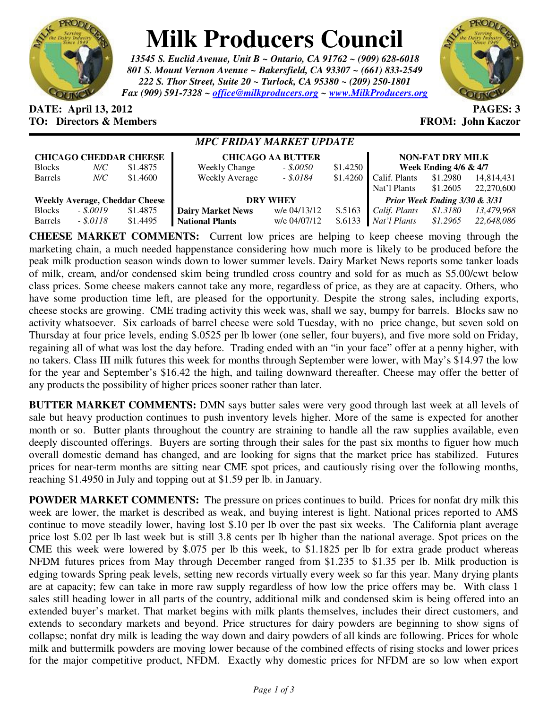

## **Milk Producers Council**

*13545 S. Euclid Avenue, Unit B ~ Ontario, CA 91762 ~ (909) 628-6018 801 S. Mount Vernon Avenue ~ Bakersfield, CA 93307 ~ (661) 833-2549 222 S. Thor Street, Suite 20 ~ Turlock, CA 95380 ~ (209) 250-1801 Fax (909) 591-7328 ~ office@milkproducers.org ~ www.MilkProducers.org*



## **DATE: April 13, 2012 PAGES: 3 TO: Directors & Members EROM: John Kaczor**

## *MPC FRIDAY MARKET UPDATE*

| <b>CHICAGO CHEDDAR CHEESE</b>         |            |          | <b>CHICAGO AA BUTTER</b> | <b>NON-FAT DRY MILK</b> |          |                               |          |            |
|---------------------------------------|------------|----------|--------------------------|-------------------------|----------|-------------------------------|----------|------------|
| <b>Blocks</b>                         | N/C        | \$1.4875 | <b>Weekly Change</b>     | $-.50050$               | \$1.4250 | Week Ending $4/6 \& 4/7$      |          |            |
| Barrels                               | N/C        | \$1.4600 | <b>Weekly Average</b>    | $-.5.0184$              | \$1.4260 | Calif. Plants                 | \$1.2980 | 14,814,431 |
|                                       |            |          |                          |                         |          | Nat'l Plants                  | \$1.2605 | 22,270,600 |
| <b>Weekly Average, Cheddar Cheese</b> |            |          | <b>DRY WHEY</b>          |                         |          | Prior Week Ending 3/30 & 3/31 |          |            |
| <b>Blocks</b>                         | $-.50019$  | \$1.4875 | <b>Dairy Market News</b> | w/e 04/13/12            | \$.5163  | Calif. Plants                 | \$1.3180 | 13.479.968 |
| <b>Barrels</b>                        | $-.8.0118$ | \$1.4495 | <b>National Plants</b>   | w/e 04/07/12            | \$.6133  | Nat'l Plants                  | \$1.2965 | 22,648,086 |

**CHEESE MARKET COMMENTS:** Current low prices are helping to keep cheese moving through the marketing chain, a much needed happenstance considering how much more is likely to be produced before the peak milk production season winds down to lower summer levels. Dairy Market News reports some tanker loads of milk, cream, and/or condensed skim being trundled cross country and sold for as much as \$5.00/cwt below class prices. Some cheese makers cannot take any more, regardless of price, as they are at capacity. Others, who have some production time left, are pleased for the opportunity. Despite the strong sales, including exports, cheese stocks are growing. CME trading activity this week was, shall we say, bumpy for barrels. Blocks saw no activity whatsoever. Six carloads of barrel cheese were sold Tuesday, with no price change, but seven sold on Thursday at four price levels, ending \$.0525 per lb lower (one seller, four buyers), and five more sold on Friday, regaining all of what was lost the day before. Trading ended with an "in your face" offer at a penny higher, with no takers. Class III milk futures this week for months through September were lower, with May's \$14.97 the low for the year and September's \$16.42 the high, and tailing downward thereafter. Cheese may offer the better of any products the possibility of higher prices sooner rather than later.

**BUTTER MARKET COMMENTS:** DMN says butter sales were very good through last week at all levels of sale but heavy production continues to push inventory levels higher. More of the same is expected for another month or so. Butter plants throughout the country are straining to handle all the raw supplies available, even deeply discounted offerings. Buyers are sorting through their sales for the past six months to figuer how much overall domestic demand has changed, and are looking for signs that the market price has stabilized. Futures prices for near-term months are sitting near CME spot prices, and cautiously rising over the following months, reaching \$1.4950 in July and topping out at \$1.59 per lb. in January.

**POWDER MARKET COMMENTS:** The pressure on prices continues to build. Prices for nonfat dry milk this week are lower, the market is described as weak, and buying interest is light. National prices reported to AMS continue to move steadily lower, having lost \$.10 per lb over the past six weeks. The California plant average price lost \$.02 per lb last week but is still 3.8 cents per lb higher than the national average. Spot prices on the CME this week were lowered by \$.075 per lb this week, to \$1.1825 per lb for extra grade product whereas NFDM futures prices from May through December ranged from \$1.235 to \$1.35 per lb. Milk production is edging towards Spring peak levels, setting new records virtually every week so far this year. Many drying plants are at capacity; few can take in more raw supply regardless of how low the price offers may be. With class 1 sales still heading lower in all parts of the country, additional milk and condensed skim is being offered into an extended buyer's market. That market begins with milk plants themselves, includes their direct customers, and extends to secondary markets and beyond. Price structures for dairy powders are beginning to show signs of collapse; nonfat dry milk is leading the way down and dairy powders of all kinds are following. Prices for whole milk and buttermilk powders are moving lower because of the combined effects of rising stocks and lower prices for the major competitive product, NFDM. Exactly why domestic prices for NFDM are so low when export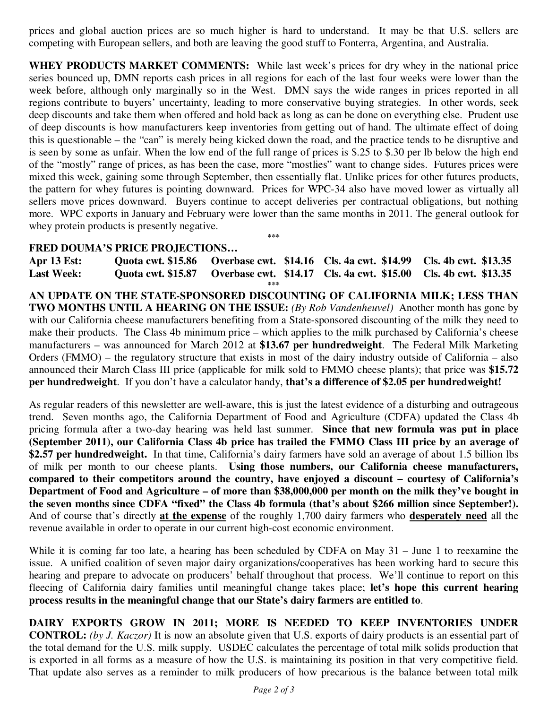prices and global auction prices are so much higher is hard to understand. It may be that U.S. sellers are competing with European sellers, and both are leaving the good stuff to Fonterra, Argentina, and Australia.

**WHEY PRODUCTS MARKET COMMENTS:** While last week's prices for dry whey in the national price series bounced up, DMN reports cash prices in all regions for each of the last four weeks were lower than the week before, although only marginally so in the West. DMN says the wide ranges in prices reported in all regions contribute to buyers' uncertainty, leading to more conservative buying strategies. In other words, seek deep discounts and take them when offered and hold back as long as can be done on everything else. Prudent use of deep discounts is how manufacturers keep inventories from getting out of hand. The ultimate effect of doing this is questionable – the "can" is merely being kicked down the road, and the practice tends to be disruptive and is seen by some as unfair. When the low end of the full range of prices is \$.25 to \$.30 per lb below the high end of the "mostly" range of prices, as has been the case, more "mostlies" want to change sides. Futures prices were mixed this week, gaining some through September, then essentially flat. Unlike prices for other futures products, the pattern for whey futures is pointing downward. Prices for WPC-34 also have moved lower as virtually all sellers move prices downward. Buyers continue to accept deliveries per contractual obligations, but nothing more. WPC exports in January and February were lower than the same months in 2011. The general outlook for whey protein products is presently negative.

## **FRED DOUMA'S PRICE PROJECTIONS…**

**Apr 13 Est: Quota cwt. \$15.86 Overbase cwt. \$14.16 Cls. 4a cwt. \$14.99 Cls. 4b cwt. \$13.35 Last Week: Quota cwt. \$15.87 Overbase cwt. \$14.17 Cls. 4a cwt. \$15.00 Cls. 4b cwt. \$13.35 \*\*\*** 

**\*\*\*** 

**AN UPDATE ON THE STATE-SPONSORED DISCOUNTING OF CALIFORNIA MILK; LESS THAN TWO MONTHS UNTIL A HEARING ON THE ISSUE:** *(By Rob Vandenheuvel)* Another month has gone by with our California cheese manufacturers benefiting from a State-sponsored discounting of the milk they need to make their products. The Class 4b minimum price – which applies to the milk purchased by California's cheese manufacturers – was announced for March 2012 at **\$13.67 per hundredweight**. The Federal Milk Marketing Orders (FMMO) – the regulatory structure that exists in most of the dairy industry outside of California – also announced their March Class III price (applicable for milk sold to FMMO cheese plants); that price was **\$15.72 per hundredweight**. If you don't have a calculator handy, **that's a difference of \$2.05 per hundredweight!**

As regular readers of this newsletter are well-aware, this is just the latest evidence of a disturbing and outrageous trend. Seven months ago, the California Department of Food and Agriculture (CDFA) updated the Class 4b pricing formula after a two-day hearing was held last summer. **Since that new formula was put in place (September 2011), our California Class 4b price has trailed the FMMO Class III price by an average of \$2.57 per hundredweight.** In that time, California's dairy farmers have sold an average of about 1.5 billion lbs of milk per month to our cheese plants. **Using those numbers, our California cheese manufacturers, compared to their competitors around the country, have enjoyed a discount – courtesy of California's Department of Food and Agriculture – of more than \$38,000,000 per month on the milk they've bought in the seven months since CDFA "fixed" the Class 4b formula (that's about \$266 million since September!).** And of course that's directly **at the expense** of the roughly 1,700 dairy farmers who **desperately need** all the revenue available in order to operate in our current high-cost economic environment.

While it is coming far too late, a hearing has been scheduled by CDFA on May 31 – June 1 to reexamine the issue. A unified coalition of seven major dairy organizations/cooperatives has been working hard to secure this hearing and prepare to advocate on producers' behalf throughout that process. We'll continue to report on this fleecing of California dairy families until meaningful change takes place; **let's hope this current hearing process results in the meaningful change that our State's dairy farmers are entitled to**.

**DAIRY EXPORTS GROW IN 2011; MORE IS NEEDED TO KEEP INVENTORIES UNDER CONTROL:** *(by J. Kaczor)* It is now an absolute given that U.S. exports of dairy products is an essential part of the total demand for the U.S. milk supply. USDEC calculates the percentage of total milk solids production that is exported in all forms as a measure of how the U.S. is maintaining its position in that very competitive field. That update also serves as a reminder to milk producers of how precarious is the balance between total milk